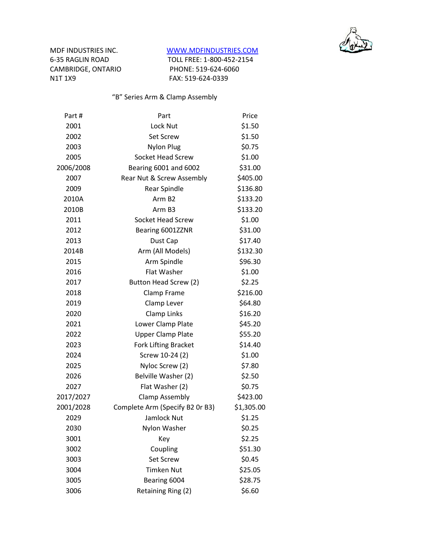

CAMBRIDGE, ONTARIO

## MDF INDUSTRIES INC. WWW.MDFINDUSTRIES.COM

6-35 RAGLIN ROAD TOLL FREE: 1-800-452-2154<br>CAMBRIDGE, ONTARIO PHONE: 519-624-6060 N1T 1X9 FAX: 519-624-0339

"B" Series Arm & Clamp Assembly

| Part#     | Part                            | Price      |
|-----------|---------------------------------|------------|
| 2001      | Lock Nut                        | \$1.50     |
| 2002      | <b>Set Screw</b>                | \$1.50     |
| 2003      | <b>Nylon Plug</b>               | \$0.75     |
| 2005      | <b>Socket Head Screw</b>        | \$1.00     |
| 2006/2008 | Bearing 6001 and 6002           | \$31.00    |
| 2007      | Rear Nut & Screw Assembly       | \$405.00   |
| 2009      | Rear Spindle                    | \$136.80   |
| 2010A     | Arm B <sub>2</sub>              | \$133.20   |
| 2010B     | Arm B3                          | \$133.20   |
| 2011      | Socket Head Screw               | \$1.00     |
| 2012      | Bearing 6001ZZNR                | \$31.00    |
| 2013      | Dust Cap                        | \$17.40    |
| 2014B     | Arm (All Models)                | \$132.30   |
| 2015      | Arm Spindle                     | \$96.30    |
| 2016      | Flat Washer                     | \$1.00     |
| 2017      | Button Head Screw (2)           | \$2.25     |
| 2018      | Clamp Frame                     | \$216.00   |
| 2019      | Clamp Lever                     | \$64.80    |
| 2020      | Clamp Links                     | \$16.20    |
| 2021      | Lower Clamp Plate               | \$45.20    |
| 2022      | <b>Upper Clamp Plate</b>        | \$55.20    |
| 2023      | <b>Fork Lifting Bracket</b>     | \$14.40    |
| 2024      | Screw 10-24 (2)                 | \$1.00     |
| 2025      | Nyloc Screw (2)                 | \$7.80     |
| 2026      | Belville Washer (2)             | \$2.50     |
| 2027      | Flat Washer (2)                 | \$0.75     |
| 2017/2027 | <b>Clamp Assembly</b>           | \$423.00   |
| 2001/2028 | Complete Arm (Specify B2 Or B3) | \$1,305.00 |
| 2029      | Jamlock Nut                     | \$1.25     |
| 2030      | Nylon Washer                    | \$0.25     |
| 3001      | Key                             | \$2.25     |
| 3002      | Coupling                        | \$51.30    |
| 3003      | Set Screw                       | \$0.45     |
| 3004      | <b>Timken Nut</b>               | \$25.05    |
| 3005      | Bearing 6004                    | \$28.75    |
| 3006      | Retaining Ring (2)              | \$6.60     |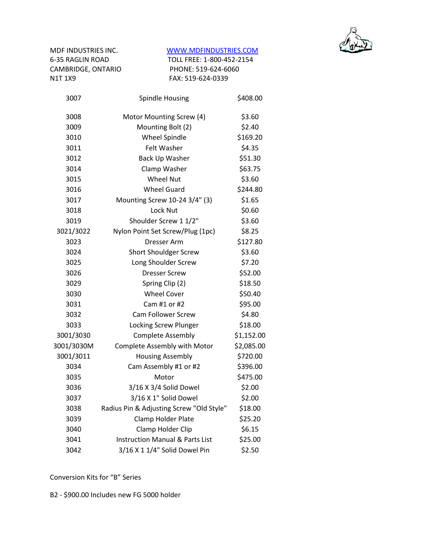

## MDF INDUSTRIES INC. WWW.MDFINDUSTRIES.COM

6-35 RAGLIN ROAD TOLL FREE: 1-800-452-2154 CAMBRIDGE, ONTARIO PHONE: 519-624-6060 N1T 1X9 FAX: 519-624-0339

| Spindle Housing                            | \$408.00   |
|--------------------------------------------|------------|
| Motor Mounting Screw (4)                   | \$3.60     |
| Mounting Bolt (2)                          | \$2.40     |
| <b>Wheel Spindle</b>                       | \$169.20   |
| Felt Washer                                | \$4.35     |
| <b>Back Up Washer</b>                      | \$51.30    |
| Clamp Washer                               | \$63.75    |
| <b>Wheel Nut</b>                           | \$3.60     |
| <b>Wheel Guard</b>                         | \$244.80   |
| Mounting Screw 10-24 3/4" (3)              | \$1.65     |
| Lock Nut                                   | \$0.60     |
| Shoulder Screw 1 1/2"                      | \$3.60     |
| Nylon Point Set Screw/Plug (1pc)           | \$8.25     |
| <b>Dresser Arm</b>                         | \$127.80   |
| <b>Short Shouldger Screw</b>               | \$3.60     |
| Long Shoulder Screw                        | \$7.20     |
| <b>Dresser Screw</b>                       | \$52.00    |
| Spring Clip (2)                            | \$18.50    |
| <b>Wheel Cover</b>                         | \$50.40    |
| Cam #1 or #2                               | \$95.00    |
| <b>Cam Follower Screw</b>                  | \$4.80     |
| Locking Screw Plunger                      | \$18.00    |
| <b>Complete Assembly</b>                   | \$1,152.00 |
| <b>Complete Assembly with Motor</b>        | \$2,085.00 |
| <b>Housing Assembly</b>                    | \$720.00   |
| Cam Assembly #1 or #2                      | \$396.00   |
| Motor                                      | \$475.00   |
| 3/16 X 3/4 Solid Dowel                     | \$2.00     |
| 3/16 X 1" Solid Dowel                      | \$2.00     |
| Radius Pin & Adjusting Screw "Old Style"   | \$18.00    |
| Clamp Holder Plate                         | \$25.20    |
| Clamp Holder Clip                          | \$6.15     |
| <b>Instruction Manual &amp; Parts List</b> | \$25.00    |
| 3/16 X 1 1/4" Solid Dowel Pin              | \$2.50     |
|                                            |            |

Conversion Kits for "B" Series

B2 - \$900.00 Includes new FG 5000 holder